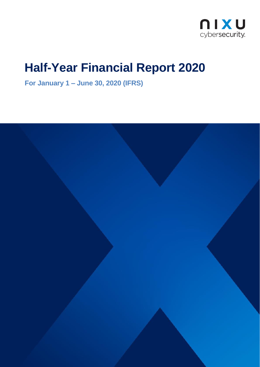

# **Half-Year Financial Report 2020**

**For January 1 – June 30, 2020 (IFRS)**

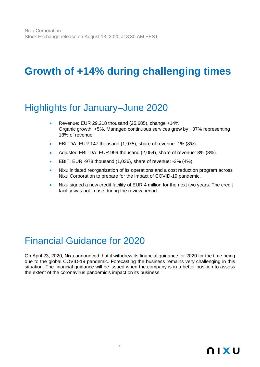# **Growth of +14% during challenging times**

### Highlights for January–June 2020

- Revenue: EUR 29,218 thousand (25,685), change +14%. Organic growth: +5%. Managed continuous services grew by +37% representing 18% of revenue.
- EBITDA: EUR 147 thousand (1,975), share of revenue: 1% (8%).
- Adjusted EBITDA: EUR 999 thousand (2,054), share of revenue: 3% (8%).
- EBIT: EUR -978 thousand (1,036), share of revenue: -3% (4%).
- Nixu initiated reorganization of its operations and a cost reduction program across Nixu Corporation to prepare for the impact of COVID-19 pandemic.
- Nixu signed a new credit facility of EUR 4 million for the next two years. The credit facility was not in use during the review period.

### Financial Guidance for 2020

On April 23, 2020, Nixu announced that it withdrew its financial guidance for 2020 for the time being due to the global COVID-19 pandemic. Forecasting the business remains very challenging in this situation. The financial guidance will be issued when the company is in a better position to assess the extent of the coronavirus pandemic's impact on its business.

2

### **nixu**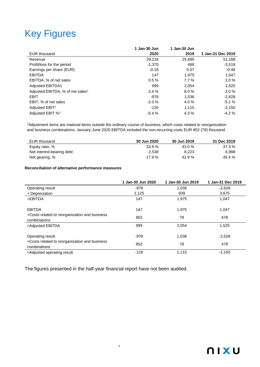# Key Figures

|                                              | 1 Jan-30 Jun | 1 Jan-30 Jun |                   |
|----------------------------------------------|--------------|--------------|-------------------|
| <b>EUR thousand</b>                          | 2020         | 2019         | 1 Jan-31 Dec 2019 |
| Revenue                                      | 29,218       | 25,685       | 51,168            |
| Profit/loss for the period                   | $-1,370$     | 488          | $-3,518$          |
| Earnings per share (EUR)                     | $-0.18$      | 0.07         | $-0.48$           |
| <b>EBITDA</b>                                | 147          | 1,975        | 1,047             |
| EBITDA, % of net sales                       | 0.5%         | $7.7\%$      | 2.0%              |
| <b>Adjusted EBITDA1</b>                      | 999          | 2,054        | 1,525             |
| Adjusted EBITDA, % of net sales <sup>1</sup> | 3.4%         | 8.0%         | 3.0%              |
| EBIT                                         | -978         | 1,036        | $-2,628$          |
| EBIT, % of net sales                         | $-3.3%$      | 4.0%         | $-5.1%$           |
| Adjusted EBIT <sup>1</sup>                   | $-126$       | 1,115        | $-2,150$          |
| Adjusted EBIT % <sup>1</sup>                 | $-0.4%$      | 4.3%         | $-4.2%$           |

<sup>1</sup>Adjustment items are material items outside the ordinary course of business, which costs related to reorganization and business combinations. January-June 2020 EBITDA included the non-recurring costs EUR 852 (78) thousand.

| EUR thousand              | 30 Jun 2020 | 30 Jun 2019 | 31 Dec 2019 |
|---------------------------|-------------|-------------|-------------|
| Equity ratio, %           | 33.9%       | 43.0%       | 37.3 %      |
| Net interest-bearing debt | 2.538       | 8.223       | 6.988       |
| Net gearing, %            | 17.9 $%$    | 42.9%       | 45.4 %      |

#### **Reconciliation of alternative performance measures**

|                                                               | 1 Jan-30 Jun 2020 | 1 Jan-30 Jun 2019 | 1 Jan-31 Dec 2019 |
|---------------------------------------------------------------|-------------------|-------------------|-------------------|
| Operating result                                              | $-978$            | 1,036             | $-2,628$          |
| + Depreciation                                                | 1.125             | 939               | 3,675             |
| $=$ EBITDA                                                    | 147               | 1,975             | 1,047             |
| <b>EBITDA</b>                                                 | 147               | 1.975             | 1,047             |
| +Costs related to reorganization and business<br>combinations | 852               | 78                | 478               |
| =Adjusted EBITDA                                              | 999               | 2,054             | 1,525             |
| Operating result                                              | -978              | 1,036             | $-2,628$          |
| +Costs related to reorganization and business<br>combinations | 852               | 78                | 478               |
| =Adjusted operating result                                    | $-126$            | 1,115             | $-2,150$          |

The figures presented in the half-year financial report have not been audited.

3

**NIXU**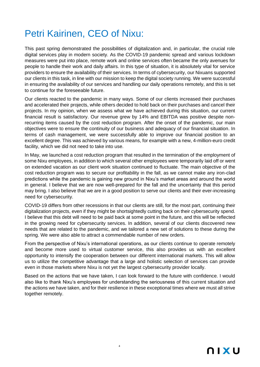## Petri Kairinen, CEO of Nixu:

This past spring demonstrated the possibilities of digitalization and, in particular, the crucial role digital services play in modern society. As the COVID-19 pandemic spread and various lockdown measures were put into place, remote work and online services often became the only avenues for people to handle their work and daily affairs. In this type of situation, it is absolutely vital for service providers to ensure the availability of their services. In terms of cybersecurity, our Nixuans supported our clients in this task, in line with our mission to keep the digital society running. We were successful in ensuring the availability of our services and handling our daily operations remotely, and this is set to continue for the foreseeable future.

Our clients reacted to the pandemic in many ways. Some of our clients increased their purchases and accelerated their projects, while others decided to hold back on their purchases and cancel their projects. In my opinion, when we assess what we have achieved during this situation, our current financial result is satisfactory. Our revenue grew by 14% and EBITDA was positive despite nonrecurring items caused by the cost reduction program. After the onset of the pandemic, our main objectives were to ensure the continuity of our business and adequacy of our financial situation. In terms of cash management, we were successfully able to improve our financial position to an excellent degree. This was achieved by various means, for example with a new, 4-million-euro credit facility, which we did not need to take into use.

In May, we launched a cost reduction program that resulted in the termination of the employment of some Nixu employees, in addition to which several other employees were temporarily laid off or went on extended vacation as our client work situation continued to fluctuate. The main objective of the cost reduction program was to secure our profitability in the fall, as we cannot make any iron-clad predictions while the pandemic is gaining new ground in Nixu's market areas and around the world in general. I believe that we are now well-prepared for the fall and the uncertainty that this period may bring. I also believe that we are in a good position to serve our clients and their ever-increasing need for cybersecurity.

COVID-19 differs from other recessions in that our clients are still, for the most part, continuing their digitalization projects, even if they might be shortsightedly cutting back on their cybersecurity spend. I believe that this debt will need to be paid back at some point in the future, and this will be reflected in the growing need for cybersecurity services. In addition, several of our clients discovered new needs that are related to the pandemic, and we tailored a new set of solutions to these during the spring. We were also able to attract a commendable number of new orders.

From the perspective of Nixu's international operations, as our clients continue to operate remotely and become more used to virtual customer service, this also provides us with an excellent opportunity to intensify the cooperation between our different international markets. This will allow us to utilize the competitive advantage that a large and holistic selection of services can provide even in those markets where Nixu is not yet the largest cybersecurity provider locally.

Based on the actions that we have taken, I can look forward to the future with confidence. I would also like to thank Nixu's employees for understanding the seriousness of this current situation and the actions we have taken, and for their resilience in these exceptional times where we must all strive together remotely.

4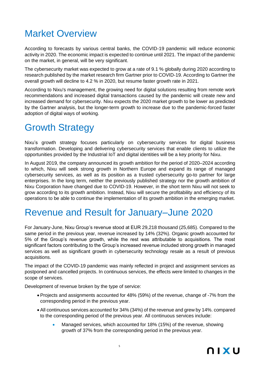# Market Overview

According to forecasts by various central banks, the COVID-19 pandemic will reduce economic activity in 2020. The economic impact is expected to continue until 2021. The impact of the pandemic on the market, in general, will be very significant.

The cybersecurity market was expected to grow at a rate of 9.1 % globally during 2020 according to research published by the market research firm Gartner prior to COVID-19. According to Gartner the overall growth will decline to 4.2 % in 2020, but resume faster growth rate in 2021.

According to Nixu's management, the growing need for digital solutions resulting from remote work recommendations and increased digital transactions caused by the pandemic will create new and increased demand for cybersecurity. Nixu expects the 2020 market growth to be lower as predicted by the Gartner analysis, but the longer-term growth to increase due to the pandemic-forced faster adoption of digital ways of working.

### Growth Strategy

Nixu's growth strategy focuses particularly on cybersecurity services for digital business transformation. Developing and delivering cybersecurity services that enable clients to utilize the opportunities provided by the Industrial IoT and digital identities will be a key priority for Nixu.

In August 2019, the company announced its growth ambition for the period of 2020–2024 according to which, Nixu will seek strong growth in Northern Europe and expand its range of managed cybersecurity services, as well as its position as a trusted cybersecurity go-to partner for large enterprises. In the long term, neither the previously published strategy nor the growth ambition of Nixu Corporation have changed due to COVID-19. However, in the short term Nixu will not seek to grow according to its growth ambition. Instead, Nixu will secure the profitability and efficiency of its operations to be able to continue the implementation of its growth ambition in the emerging market.

### Revenue and Result for January–June 2020

For January-June, Nixu Group's revenue stood at EUR 29,218 thousand (25,685). Compared to the same period in the previous year, revenue increased by 14% (32%). Organic growth accounted for 5% of the Group's revenue growth, while the rest was attributable to acquisitions. The most significant factors contributing to the Group's increased revenue included strong growth in managed services as well as significant growth in cybersecurity technology resale as a result of previous acquisitions.

The impact of the COVID-19 pandemic was mainly reflected in project and assignment services as postponed and cancelled projects. In continuous services, the effects were limited to changes in the scope of services.

Development of revenue broken by the type of service:

- Projects and assignments accounted for 48% (59%) of the revenue, change of -7% from the corresponding period in the previous year.
- All continuous services accounted for 34% (34%) of the revenue and grew by 14%. compared to the corresponding period of the previous year. All continuous services include:
	- Managed services, which accounted for 18% (15%) of the revenue, showing growth of 37% from the corresponding period in the previous year.

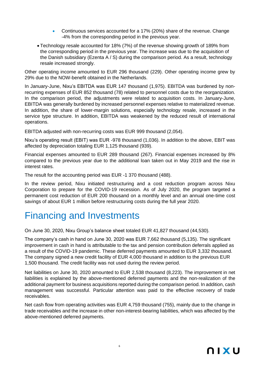- Continuous services accounted for a 17% (20%) share of the revenue. Change -4% from the corresponding period in the previous year.
- Technology resale accounted for 18% (7%) of the revenue showing growth of 189% from the corresponding period in the previous year. The increase was due to the acquisition of the Danish subsidiary (Ezenta A / S) during the comparison period. As a result, technology resale increased strongly.

Other operating income amounted to EUR 296 thousand (229). Other operating income grew by 29% due to the NOW-benefit obtained in the Netherlands.

In January-June, Nixu's EBITDA was EUR 147 thousand (1,975). EBITDA was burdened by nonrecurring expenses of EUR 852 thousand (78) related to personnel costs due to the reorganization. In the comparison period, the adjustments were related to acquisition costs. In January-June, EBITDA was generally burdened by increased personnel expenses relative to materialized revenue. In addition, the share of lower-margin solutions, especially technology resale, increased in the service type structure. In addition, EBITDA was weakened by the reduced result of international operations.

EBITDA adjusted with non-recurring costs was EUR 999 thousand (2,054).

Nixu's operating result (EBIT) was EUR -978 thousand (1,036). In addition to the above, EBIT was affected by depreciation totaling EUR 1,125 thousand (939).

Financial expenses amounted to EUR 289 thousand (267). Financial expenses increased by 8% compared to the previous year due to the additional loan taken out in May 2019 and the rise in interest rates.

The result for the accounting period was EUR -1 370 thousand (488).

In the review period, Nixu initiated restructuring and a cost reduction program across Nixu Corporation to prepare for the COVID-19 recession. As of July 2020, the program targeted a permanent cost reduction of EUR 200 thousand on a monthly level and an annual one-time cost savings of about EUR 1 million before restructuring costs during the full year 2020.

### Financing and Investments

On June 30, 2020, Nixu Group's balance sheet totaled EUR 41,827 thousand (44,530).

The company's cash in hand on June 30, 2020 was EUR 7,662 thousand (5,135). The significant improvement in cash in hand is attributable to the tax and pension contribution deferrals applied as a result of the COVID-19 pandemic. These deferred payments amounted to EUR 3,332 thousand. The company signed a new credit facility of EUR 4,000 thousand in addition to the previous EUR 1,500 thousand. The credit facility was not used during the review period.

Net liabilities on June 30, 2020 amounted to EUR 2,538 thousand (8,223). The improvement in net liabilities is explained by the above-mentioned deferred payments and the non-realization of the additional payment for business acquisitions reported during the comparison period. In addition, cash management was successful. Particular attention was paid to the effective recovery of trade receivables.

Net cash flow from operating activities was EUR 4,759 thousand (755), mainly due to the change in trade receivables and the increase in other non-interest-bearing liabilities, which was affected by the above-mentioned deferred payments.

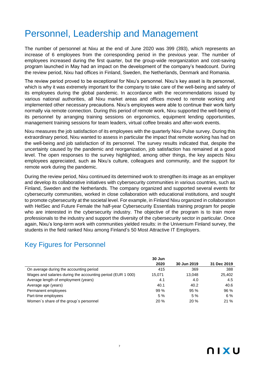### Personnel, Leadership and Management

The number of personnel at Nixu at the end of June 2020 was 399 (393), which represents an increase of 6 employees from the corresponding period in the previous year. The number of employees increased during the first quarter, but the group-wide reorganization and cost-saving program launched in May had an impact on the development of the company's headcount. During the review period, Nixu had offices in Finland, Sweden, the Netherlands, Denmark and Romania.

The review period proved to be exceptional for Nixu's personnel. Nixu's key asset is its personnel, which is why it was extremely important for the company to take care of the well-being and safety of its employees during the global pandemic. In accordance with the recommendations issued by various national authorities, all Nixu market areas and offices moved to remote working and implemented other necessary precautions. Nixu's employees were able to continue their work fairly normally via remote connection. During this period of remote work, Nixu supported the well-being of its personnel by arranging training sessions on ergonomics, equipment lending opportunities, management training sessions for team leaders, virtual coffee breaks and after-work events.

Nixu measures the job satisfaction of its employees with the quarterly Nixu Pulse survey. During this extraordinary period, Nixu wanted to assess in particular the impact that remote working has had on the well-being and job satisfaction of its personnel. The survey results indicated that, despite the uncertainty caused by the pandemic and reorganization, job satisfaction has remained at a good level. The open responses to the survey highlighted, among other things, the key aspects Nixu employees appreciated, such as Nixu's culture, colleagues and community, and the support for remote work during the pandemic.

During the review period, Nixu continued its determined work to strengthen its image as an employer and develop its collaborative initiatives with cybersecurity communities in various countries, such as Finland, Sweden and the Netherlands. The company organized and supported several events for cybersecurity communities, worked in close collaboration with educational institutions, and sought to promote cybersecurity at the societal level. For example, in Finland Nixu organized in collaboration with HelSec and Future Female the half-year Cybersecurity Essentials training program for people who are interested in the cybersecurity industry. The objective of the program is to train more professionals to the industry and support the diversity of the cybersecurity sector in particular. Once again, Nixu's long-term work with communities yielded results: in the Universum Finland survey, the students in the field ranked Nixu among Finland's 50 Most Attractive IT Employers.

### Key Figures for Personnel

|                                                             | 30 Jun |             |             |
|-------------------------------------------------------------|--------|-------------|-------------|
|                                                             | 2020   | 30 Jun 2019 | 31 Dec 2019 |
| On average during the accounting period                     | 415    | 369         | 388         |
| Wages and salaries during the accounting period (EUR 1 000) | 15,071 | 13,048      | 25,402      |
| Average length of employment (years)                        | 4.1    | 4.0         | 4.5         |
| Average age (years)                                         | 40.1   | 40.2        | 40.6        |
| Permanent employees                                         | 99%    | 95%         | 96 %        |
| Part-time employees                                         | 5%     | 5%          | 6%          |
| Women's share of the group's personnel                      | 20%    | 20%         | 21%         |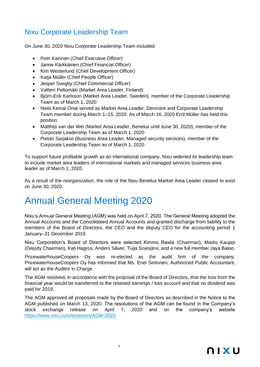### Nixu Corporate Leadership Team

On June 30, 2020 Nixu Corporate Leadership Team included:

- Petri Kairinen (Chief Executive Officer)
- Janne Kärkkäinen (Chief Financial Officer)
- Kim Westerlund (Chief Development Officer)
- Katja Müller (Chief People Officer)
- Jesper Svegby (Chief Commercial Officer)
- Valtteri Peltomäki (Market Area Leader, Finland)
- Björn-Erik Karlsson (Market Area Leader, Sweden), member of the Corporate Leadership Team as of March 1, 2020
- Niels Kemal Onat served as Market Area Leader, Denmark and Corporate Leadership Team member during March 1–15, 2020. As of March 16, 2020 Errit Müller has held this position.
- Matthijs van der Wel (Market Area Leader, Benelux until June 30, 2020), member of the Corporate Leadership Team as of March 1, 2020
- Pietari Sarjakivi (Business Area Leader, Managed security services), member of the Corporate Leadership Team as of March 1, 2020

To support future profitable growth as an international company, Nixu widened its leadership team to include market area leaders of international markets and managed services business area leader as of March 1, 2020.

As a result of the reorganization, the role of the Nixu Benelux Market Area Leader ceased to exist on June 30, 2020.

### Annual General Meeting 2020

Nixu's Annual General Meeting (AGM) was held on April 7, 2020. The General Meeting adopted the Annual Accounts and the Consolidated Annual Accounts and granted discharge from liability to the members of the Board of Directors, the CEO and the deputy CEO for the accounting period 1 January–31 December 2019.

Nixu Corporation's Board of Directors were selected Kimmo Rasila (Chairman), Marko Kauppi (Deputy Chairman), Kati Hagros, Anders Silwer, Tuija Soanjärvi, and a new full member Jaya Baloo.

PricewaterhouseCoopers Oy was re-elected as the audit firm of the company. PricewaterhouseCoopers Oy has informed that Ms. Enel Sintonen, Authorized Public Accountant, will act as the Auditor in Charge.

The AGM resolved, in accordance with the proposal of the Board of Directors, that the loss from the financial year would be transferred to the retained earnings / loss account and that no dividend was paid for 2019.

The AGM approved all proposals made by the Board of Directors as described in the Notice to the AGM published on March 13, 2020. The resolutions of the AGM can be found in the Company's stock exchange release on April 7, 2020 and on the company's website [https://www.nixu.com/investors/AGM-2020.](https://www.nixu.com/investors/AGM-2020)

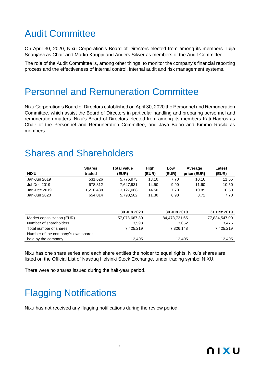# Audit Committee

On April 30, 2020, Nixu Corporation's Board of Directors elected from among its members Tuija Soanjärvi as Chair and Marko Kauppi and Anders Silwer as members of the Audit Committee.

The role of the Audit Committee is, among other things, to monitor the company's financial reporting process and the effectiveness of internal control, internal audit and risk management systems.

### Personnel and Remuneration Committee

Nixu Corporation's Board of Directors established on April 30, 2020 the Personnel and Remuneration Committee, which assist the Board of Directors in particular handling and preparing personnel and remuneration matters. Nixu's Board of Directors elected from among its members Kati Hagros as Chair of the Personnel and Remuneration Committee, and Jaya Baloo and Kimmo Rasila as members.

### Shares and Shareholders

| <b>NIXU</b>                        | <b>Shares</b><br>traded | <b>Total value</b><br>(EUR) | High<br>(EUR) | Low<br>(EUR)  | Average<br>price (EUR) | Latest<br>(EUR) |
|------------------------------------|-------------------------|-----------------------------|---------------|---------------|------------------------|-----------------|
| Jan-Jun 2019                       | 531,626                 | 5,776,973                   | 13.10         | 7.70          | 10.16                  | 11.55           |
| <b>Jul-Dec 2019</b>                | 678,812                 | 7,647,931                   | 14.50         | 9.90          | 11.60                  | 10.50           |
| Jan-Dec 2019                       | 1,210,438               | 13,127,068                  | 14.50         | 7.70          | 10.89                  | 10.50           |
| Jan-Jun 2020                       | 654,014                 | 5,798,502                   | 11.30         | 6.98          | 8.72                   | 7.70            |
|                                    |                         | 30 Jun 2020                 |               | 30 Jun 2019   |                        | 31 Dec 2019     |
| Market capitalization (EUR)        |                         | 57,078,667.80               |               | 84,473,731.65 |                        | 77,834,547.00   |
| Number of shareholders             |                         | 3,598                       |               |               | 3,052                  | 3,475           |
| Total number of shares             |                         | 7,425,219                   |               | 7,326,148     |                        | 7,425,219       |
| Number of the company's own shares |                         |                             |               |               |                        |                 |
| held by the company                |                         | 12.405                      |               |               | 12.405                 | 12.405          |

Nixu has one share series and each share entitles the holder to equal rights. Nixu's shares are listed on the Official List of Nasdaq Helsinki Stock Exchange, under trading symbol NIXU.

9

There were no shares issued during the half-year period.

# Flagging Notifications

Nixu has not received any flagging notifications during the review period.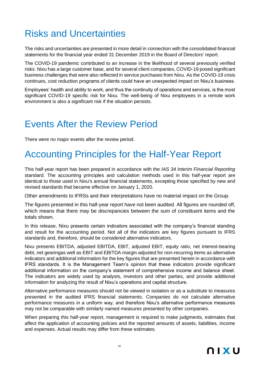## Risks and Uncertainties

The risks and uncertainties are presented in more detail in connection with the consolidated financial statements for the financial year ended 31 December 2019 in the Board of Directors' report.

The COVID-19 pandemic contributed to an increase in the likelihood of several previously verified risks. Nixu has a large customer base, and for several client companies, COVID-19 posed significant business challenges that were also reflected in service purchases from Nixu. As the COVID-19 crisis continues, cost reduction programs of clients could have an unexpected impact on Nixu's business.

Employees' health and ability to work, and thus the continuity of operations and services, is the most significant COVID-19 specific risk for Nixu. The well-being of Nixu employees in a remote work environment is also a significant risk if the situation persists.

### Events After the Review Period

There were no major events after the review period.

# Accounting Principles for the Half-Year Report

This half-year report has been prepared in accordance with the *IAS 34 Interim Financial Reporting* standard. The accounting principles and calculation methods used in this half-year report are identical to those used in Nixu's annual financial statements, excepting those specified by new and revised standards that became effective on January 1, 2020.

Other amendments to IFRSs and their interpretations have no material impact on the Group.

The figures presented in this half-year report have not been audited. All figures are rounded off, which means that there may be discrepancies between the sum of constituent items and the totals shown.

In this release, Nixu presents certain indicators associated with the company's financial standing and result for the accounting period. Not all of the indicators are key figures pursuant to IFRS standards and, therefore, should be considered alternative indicators.

Nixu presents EBITDA, adjusted EBITDA, EBIT, adjusted EBIT, equity ratio, net interest-bearing debt, net gearingas well as EBIT and EBITDA margin adjusted for non-recurring items as alternative indicators and additional information for the key figures that are presented herein in accordance with IFRS standards. It is the Management Team's opinion that these indicators provide significant additional information on the company's statement of comprehensive income and balance sheet. The indicators are widely used by analysts, investors and other parties, and provide additional information for analyzing the result of Nixu's operations and capital structure.

Alternative performance measures should not be viewed in isolation or as a substitute to measures presented in the audited IFRS financial statements. Companies do not calculate alternative performance measures in a uniform way, and therefore Nixu's alternative performance measures may not be comparable with similarly named measures presented by other companies.

When preparing this half-year report, management is required to make judgments, estimates that affect the application of accounting policies and the reported amounts of assets, liabilities, income and expenses. Actual results may differ from these estimates.

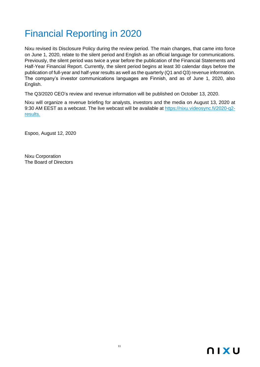# Financial Reporting in 2020

Nixu revised its Disclosure Policy during the review period. The main changes, that came into force on June 1, 2020, relate to the silent period and English as an official language for communications. Previously, the silent period was twice a year before the publication of the Financial Statements and Half-Year Financial Report. Currently, the silent period begins at least 30 calendar days before the publication of full-year and half-year results as well as the quarterly (Q1 and Q3) revenue information. The company's investor communications languages are Finnish, and as of June 1, 2020, also English.

The Q3/2020 CEO's review and revenue information will be published on October 13, 2020.

Nixu will organize a revenue briefing for analysts, investors and the media on August 13, 2020 at 9:30 AM EEST as a webcast. The live webcast will be available at [https://nixu.videosync.fi/2020-q2](https://nixu.videosync.fi/2020-q2-results) [results.](https://nixu.videosync.fi/2020-q2-results)

Espoo, August 12, 2020

Nixu Corporation The Board of Directors

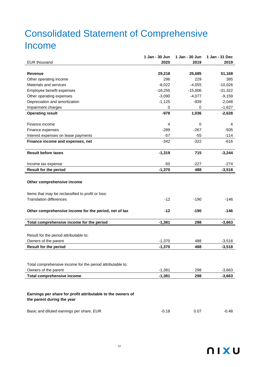# Consolidated Statement of Comprehensive Income

|                                                             | 1 Jan - 30 Jun | 1 Jan - 30 Jun | 1 Jan - 31 Dec |
|-------------------------------------------------------------|----------------|----------------|----------------|
| <b>EUR thousand</b>                                         | 2020           | 2019           | 2019           |
|                                                             |                |                |                |
| <b>Revenue</b>                                              | 29,218         | 25,685         | 51,168         |
| Other operating income                                      | 296            | 229            | 385            |
| Materials and services                                      | $-8,022$       | $-4,055$       | $-10,026$      |
| Employee benefit expenses                                   | $-18,255$      | $-15,806$      | $-31,322$      |
| Other operating expenses                                    | $-3,090$       | $-4,077$       | $-9,159$       |
| Depreciation and amortization                               | $-1,125$       | $-939$         | $-2,048$       |
| Impairment charges                                          | 0              | 0              | $-1,627$       |
| <b>Operating result</b>                                     | $-978$         | 1,036          | $-2,628$       |
|                                                             |                |                |                |
| Finance income                                              | 4              | 0              | 4              |
| Finance expenses                                            | $-289$         | $-267$         | $-505$         |
| Interest expenses on lease payments                         | $-57$          | $-55$          | $-114$         |
| Finance income and expenses, net                            | $-342$         | $-322$         | $-616$         |
|                                                             |                |                |                |
| <b>Result before taxes</b>                                  | $-1,319$       | 715            | $-3,244$       |
|                                                             |                |                |                |
| Income tax expense                                          | $-50$          | $-227$         | $-274$         |
| <b>Result for the period</b>                                | $-1,370$       | 488            | $-3,518$       |
|                                                             |                |                |                |
| Other comprehensive income                                  |                |                |                |
|                                                             |                |                |                |
| Items that may be reclassified to profit or loss:           |                |                |                |
| <b>Translation differences</b>                              | $-12$          | $-190$         | -146           |
|                                                             |                |                |                |
| Other comprehensive income for the period, net of tax       | $-12$          | $-190$         | -146           |
|                                                             |                |                |                |
| Total comprehensive income for the period                   | $-1,381$       | 298            | $-3,663$       |
|                                                             |                |                |                |
| Result for the period attributable to:                      |                |                |                |
| Owners of the parent                                        | $-1,370$       | 488            | $-3,518$       |
| <b>Result for the period</b>                                | $-1,370$       | 488            | $-3,518$       |
|                                                             |                |                |                |
|                                                             |                |                |                |
| Total comprehensive income for the period attributable to:  |                |                |                |
| Owners of the parent                                        | $-1,381$       | 298            | $-3,663$       |
| <b>Total comprehensive income</b>                           |                | 298            |                |
|                                                             | $-1,381$       |                | $-3,663$       |
|                                                             |                |                |                |
|                                                             |                |                |                |
| Earnings per share for profit attributable to the owners of |                |                |                |
| the parent during the year                                  |                |                |                |
|                                                             |                |                |                |
| Basic and diluted earnings per share, EUR                   | $-0.18$        | 0.07           | -0.48          |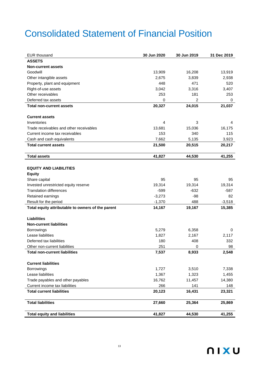# Consolidated Statement of Financial Position

| <b>EUR thousand</b>                               | 30 Jun 2020 | 30 Jun 2019 | 31 Dec 2019 |
|---------------------------------------------------|-------------|-------------|-------------|
| <b>ASSETS</b>                                     |             |             |             |
| <b>Non-current assets</b>                         |             |             |             |
| Goodwill                                          | 13,909      | 16,208      | 13,919      |
| Other intangible assets                           | 2,675       | 3,839       | 2,938       |
| Property, plant and equipment                     | 448         | 471         | 520         |
| Right-of-use assets                               | 3,042       | 3,316       | 3,407       |
| Other receivables                                 | 253         | 181         | 253         |
| Deferred tax assets                               | 0           | 2           | 0           |
| <b>Total non-current assets</b>                   | 20,327      | 24,015      | 21,037      |
|                                                   |             |             |             |
| <b>Current assets</b><br>Inventories              | 4           | 3           | 4           |
| Trade receivables and other receivables           | 13,681      | 15,036      | 16,175      |
| Current income tax receivables                    | 153         | 340         | 115         |
| Cash and cash equivalents                         | 7,662       | 5,135       | 3,923       |
| <b>Total current assets</b>                       | 21,500      | 20,515      | 20,217      |
|                                                   |             |             |             |
| <b>Total assets</b>                               | 41,827      | 44,530      | 41,255      |
|                                                   |             |             |             |
| <b>EQUITY AND LIABILITIES</b>                     |             |             |             |
| <b>Equity</b>                                     |             |             |             |
| Share capital                                     | 95          | 95          | 95          |
| Invested unrestricted equity reserve              | 19,314      | 19,314      | 19,314      |
| <b>Translation differences</b>                    | -599        | $-632$      | $-587$      |
| Retained earnings                                 | $-3,273$    | $-98$       | 82          |
| Result for the period                             | $-1,370$    | 488         | $-3,518$    |
| Total equity attributable to owners of the parent | 14,167      | 19,167      | 15,385      |
|                                                   |             |             |             |
| <b>Liabilities</b>                                |             |             |             |
| <b>Non-current liabilities</b><br>Borrowings      | 5,279       | 6,358       | 0           |
| Lease liabilities                                 | 1,827       | 2,167       | 2,117       |
| Deferred tax liabilities                          | 180         | 408         | 332         |
| Other non-current liabilities                     | 251         | 0           | 98          |
| <b>Total non-current liabilities</b>              | 7,537       | 8,933       | 2,548       |
|                                                   |             |             |             |
| <b>Current liabilities</b>                        |             |             |             |
| Borrowings                                        | 1,727       | 3,510       | 7,338       |
| Lease liabilities                                 | 1,367       | 1,323       | 1,455       |
| Trade payables and other payables                 | 16,762      | 11,457      | 14,380      |
| Current income tax liabilities                    | 266         | 141         | 148         |
| <b>Total current liabilities</b>                  | 20,123      | 16,431      | 23,321      |
|                                                   |             |             |             |
| <b>Total liabilities</b>                          | 27,660      | 25,364      | 25,869      |
| <b>Total equity and liabilities</b>               | 41,827      | 44,530      | 41,255      |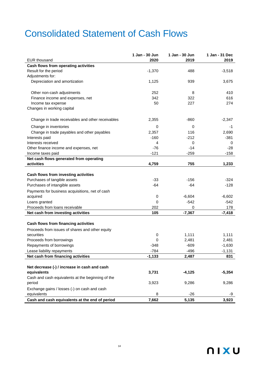## Consolidated Statement of Cash Flows

|                                                   | 1 Jan - 30 Jun | 1 Jan - 30 Jun | 1 Jan - 31 Dec |
|---------------------------------------------------|----------------|----------------|----------------|
| <b>EUR thousand</b>                               | 2020           | 2019           | 2019           |
| Cash flows from operating activities              |                |                |                |
| Result for the period                             | $-1,370$       | 488            | $-3,518$       |
| Adjustments for:                                  |                |                |                |
| Depreciation and amortization                     | 1,125          | 939            | 3,675          |
|                                                   |                |                |                |
| Other non-cash adjustments                        | 252            | 8              | 410            |
| Finance income and expenses, net                  | 342            | 322            | 616            |
| Income tax expense                                | 50             | 227            | 274            |
| Changes in working capital                        |                |                |                |
| Change in trade receivables and other receivables | 2,355          | $-860$         | $-2,347$       |
| Change in inventories                             | 0              | 0              | -1             |
| Change in trade payables and other payables       | 2,357          | 116            | 2,690          |
| Interests paid                                    | $-160$         | $-212$         | $-381$         |
| Interests received                                | 4              | 0              | 0              |
| Other finance income and expenses, net            | $-76$          | $-14$          | $-28$          |
| Income taxes paid                                 | $-121$         | $-259$         | $-158$         |
| Net cash flows generated from operating           |                |                |                |
| activities                                        | 4,759          | 755            | 1,233          |
|                                                   |                |                |                |
| Cash flows from investing activities              |                |                |                |
| Purchases of tangible assets                      | $-33$          | -156           | $-324$         |
| Purchases of intangible assets                    | $-64$          | -64            | $-128$         |
| Payments for business acquisitions, net of cash   |                |                |                |
| acquired                                          | 0              | $-6,604$       | $-6,602$       |
| Loans granted                                     | 0              | $-542$         | $-542$         |
| Proceeds from loans receivable                    | 202            | 0              | 178            |
| Net cash from investing activities                | 105            | $-7,367$       | $-7,418$       |
|                                                   |                |                |                |
| Cash flows from financing activities              |                |                |                |
| Proceeds from issues of shares and other equity   |                |                |                |
| securities                                        | 0              | 1,111          | 1,111          |
| Proceeds from borrowings                          | 0              | 2,481          | 2,481          |
| Repayments of borrowings                          | $-348$         | $-609$         | $-1,630$       |
| Lease liability repayments                        | $-784$         | $-496$         | $-1,131$       |
| Net cash from financing activities                | $-1,133$       | 2,487          | 831            |
|                                                   |                |                |                |
| Net decrease (-) / increase in cash and cash      |                |                |                |
| equivalents                                       | 3,731          | $-4,125$       | $-5,354$       |
| Cash and cash equivalents at the beginning of the |                |                |                |
| period                                            | 3,923          | 9,286          | 9,286          |
| Exchange gains / losses (-) on cash and cash      |                |                |                |
| equivalents                                       | 8              | $-26$          | -9             |
| Cash and cash equivalents at the end of period    | 7,662          | 5,135          | 3,923          |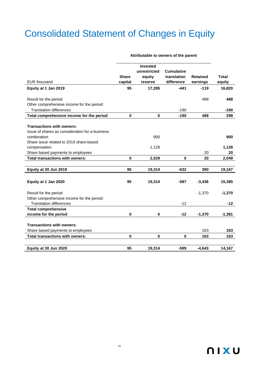# Consolidated Statement of Changes in Equity

|                                                                                     | <b>Share</b> | <b>Invested</b><br>unrestricted<br>equity | <b>Cumulative</b><br>translation | <b>Retained</b> | <b>Total</b> |
|-------------------------------------------------------------------------------------|--------------|-------------------------------------------|----------------------------------|-----------------|--------------|
| <b>EUR thousand</b>                                                                 | capital      | reserve                                   | difference                       | earnings        | equity       |
| Equity at 1 Jan 2019                                                                | 95           | 17,285                                    | $-441$                           | $-119$          | 16,820       |
| Result for the period                                                               |              |                                           |                                  | 488             | 488          |
| Other comprehensive income for the period:                                          |              |                                           |                                  |                 |              |
| <b>Translation differences</b>                                                      |              |                                           | $-190$                           |                 | -190         |
| Total comprehensive income for the period                                           | $\bf{0}$     | $\bf{0}$                                  | $-190$                           | 488             | 298          |
| <b>Transactions with owners:</b><br>Issue of shares as consideration for a business |              |                                           |                                  |                 |              |
| combination                                                                         |              | 900                                       |                                  |                 | 900          |
| Share issue related to 2019 share-based                                             |              |                                           |                                  |                 |              |
| compensation                                                                        |              | 1,128                                     |                                  |                 | 1,128        |
| Share based payments to employees                                                   |              |                                           |                                  | 20              | 20           |
| <b>Total transactions with owners:</b>                                              | $\mathbf 0$  | 2,029                                     | $\bf{0}$                         | 20              | 2,049        |
| Equity at 30 Jun 2019                                                               | 95           | 19,314                                    | $-632$                           | 390             | 19,167       |
|                                                                                     |              |                                           |                                  |                 |              |
| Equity at 1 Jan 2020                                                                | 95           | 19,314                                    | $-587$                           | $-3,436$        | 15,385       |
| Result for the period                                                               |              |                                           |                                  | $-1,370$        | $-1,370$     |
| Other comprehensive income for the period:                                          |              |                                           |                                  |                 |              |
| <b>Translation differences</b>                                                      |              |                                           | $-12$                            |                 | $-12$        |
| <b>Total comprehensive</b>                                                          |              |                                           |                                  |                 |              |
| income for the period                                                               | 0            | 0                                         | $-12$                            | $-1,370$        | $-1,381$     |
|                                                                                     |              |                                           |                                  |                 |              |
| <b>Transactions with owners:</b>                                                    |              |                                           |                                  |                 |              |
| Share based payments to employees                                                   |              |                                           |                                  | 163             | 163          |
| <b>Total transactions with owners:</b>                                              | 0            | 0                                         | 0                                | 163             | 163          |
|                                                                                     |              |                                           |                                  |                 |              |
| Equity at 30 Jun 2020                                                               | 95           | 19,314                                    | $-599$                           | $-4,643$        | 14,167       |

**Attributable to owners of the parent**

### **NIXU**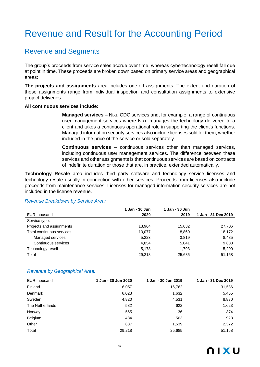# Revenue and Result for the Accounting Period

### Revenue and Segments

The group's proceeds from service sales accrue over time, whereas cybertechnology resell fall due at point in time. These proceeds are broken down based on primary service areas and geographical areas:

**The projects and assignments** area includes one-off assignments. The extent and duration of these assignments range from individual inspection and consultation assignments to extensive project deliveries.

#### **All continuous services include:**

**Managed services** – Nixu CDC services and, for example, a range of continuous user management services where Nixu manages the technology delivered to a client and takes a continuous operational role in supporting the client's functions. Managed information security services also include licenses sold for them, whether included in the price of the service or sold separately.

**Continuous services** – continuous services other than managed services, including continuous user management services. The difference between these services and other assignments is that continuous services are based on contracts of indefinite duration or those that are, in practice, extended automatically.

**Technology Resale** area includes third party software and technology service licenses and technology resale usually in connection with other services. Proceeds from licenses also include proceeds from maintenance services. Licenses for managed information security services are not included in the license revenue.

#### *Revenue Breakdown by Service Area:*

|                           | 1 Jan - 30 Jun | 1 Jan - 30 Jun |                     |
|---------------------------|----------------|----------------|---------------------|
| <b>EUR</b> thousand       | 2020           | 2019           | 1 Jan - 31 Dec 2019 |
| Service type:             |                |                |                     |
| Projects and assignments  | 13.964         | 15.032         | 27,706              |
| Total continuous services | 10.077         | 8,860          | 18,172              |
| Managed services          | 5,223          | 3,819          | 8,485               |
| Continuous services       | 4,854          | 5,041          | 9,688               |
| Technology resell         | 5,178          | 1,793          | 5,290               |
| Total                     | 29.218         | 25,685         | 51.168              |

#### *Revenue by Geographical Area:*

| EUR thousand    | 1 Jan - 30 Jun 2020 | 1 Jan - 30 Jun 2019 | 1 Jan - 31 Dec 2019 |
|-----------------|---------------------|---------------------|---------------------|
| Finland         | 16,057              | 16,762              | 31,586              |
| Denmark         | 6,023               | 1,632               | 5,455               |
| Sweden          | 4,820               | 4,531               | 8,830               |
| The Netherlands | 582                 | 622                 | 1,623               |
| Norway          | 565                 | 36                  | 374                 |
| Belgium         | 484                 | 563                 | 928                 |
| Other           | 687                 | 1,539               | 2,372               |
| Total           | 29,218              | 25,685              | 51,168              |

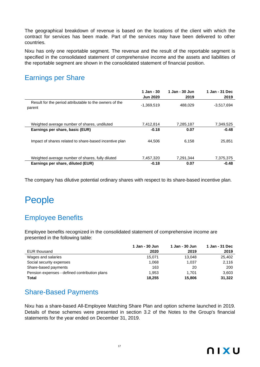The geographical breakdown of revenue is based on the locations of the client with which the contract for services has been made. Part of the services may have been delivered to other countries.

Nixu has only one reportable segment. The revenue and the result of the reportable segment is specified in the consolidated statement of comprehensive income and the assets and liabilities of the reportable segment are shown in the consolidated statement of financial position.

### Earnings per Share

|                                                                                       | 1 Jan - 30<br><b>Jun 2020</b> | 1 Jan - 30 Jun<br>2019 | 1 Jan - 31 Dec<br>2019 |
|---------------------------------------------------------------------------------------|-------------------------------|------------------------|------------------------|
| Result for the period attributable to the owners of the<br>parent                     | $-1,369,519$                  | 488.029                | $-3,517,694$           |
| Weighted average number of shares, undiluted                                          | 7,412,814                     | 7,285,187              | 7,349,525              |
| Earnings per share, basic (EUR)                                                       | $-0.18$                       | 0.07                   | $-0.48$                |
| Impact of shares related to share-based incentive plan                                | 44.506                        | 6.158                  | 25.851                 |
| Weighted average number of shares, fully diluted<br>Earnings per share, diluted (EUR) | 7,457,320<br>$-0.18$          | 7,291,344<br>0.07      | 7,375,375<br>$-0.48$   |

The company has dilutive potential ordinary shares with respect to its share-based incentive plan.

### People

### Employee Benefits

Employee benefits recognized in the consolidated statement of comprehensive income are presented in the following table:

|                                               | 1 Jan - 30 Jun | 1 Jan - 30 Jun | 1 Jan - 31 Dec |
|-----------------------------------------------|----------------|----------------|----------------|
| EUR thousand                                  | 2020           | 2019           | 2019           |
| Wages and salaries                            | 15.071         | 13.048         | 25,402         |
| Social security expenses                      | 1,068          | 1,037          | 2,116          |
| Share-based payments                          | 163            | 20             | 200            |
| Pension expenses - defined contribution plans | 1,953          | 1.701          | 3.603          |
| Total                                         | 18.255         | 15,806         | 31,322         |

### Share-Based Payments

Nixu has a share-based All-Employee Matching Share Plan and option scheme launched in 2019. Details of these schemes were presented in section 3.2 of the Notes to the Group's financial statements for the year ended on December 31, 2019.

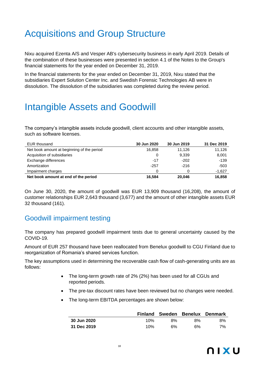## Acquisitions and Group Structure

Nixu acquired Ezenta A/S and Vesper AB's cybersecurity business in early April 2019. Details of the combination of these businesses were presented in section 4.1 of the Notes to the Group's financial statements for the year ended on December 31, 2019.

In the financial statements for the year ended on December 31, 2019, Nixu stated that the subsidiaries Expert Solution Center Inc. and Swedish Forensic Technologies AB were in dissolution. The dissolution of the subsidiaries was completed during the review period.

### Intangible Assets and Goodwill

The company's intangible assets include goodwill, client accounts and other intangible assets, such as software licenses.

| EUR thousand                               | 30 Jun 2020 | 30 Jun 2019 | 31 Dec 2019 |
|--------------------------------------------|-------------|-------------|-------------|
| Net book amount at beginning of the period | 16.858      | 11.126      | 11,126      |
| Acquisition of subsidiaries                | 0           | 9,339       | 8,001       |
| Exchange differences                       | $-17$       | $-202$      | $-139$      |
| Amortization                               | $-257$      | $-216$      | $-503$      |
| Impairment charges                         | O           | 0           | $-1,627$    |
| Net book amount at end of the period       | 16,584      | 20.046      | 16,858      |

On June 30, 2020, the amount of goodwill was EUR 13,909 thousand (16,208), the amount of customer relationships EUR 2,643 thousand (3,677) and the amount of other intangible assets EUR 32 thousand (161).

### Goodwill impairment testing

The company has prepared goodwill impairment tests due to general uncertainty caused by the COVID-19.

Amount of EUR 257 thousand have been reallocated from Benelux goodwill to CGU Finland due to reorganization of Romania's shared services function.

The key assumptions used in determining the recoverable cash flow of cash-generating units are as follows:

- The long-term growth rate of 2% (2%) has been used for all CGUs and reported periods.
- The pre-tax discount rates have been reviewed but no changes were needed.
- The long-term EBITDA percentages are shown below:

|             |     |    |    | Finland Sweden Benelux Denmark |
|-------------|-----|----|----|--------------------------------|
| 30 Jun 2020 | 10% | 8% | 8% | 8%                             |
| 31 Dec 2019 | 10% | 6% | 6% | 7%                             |

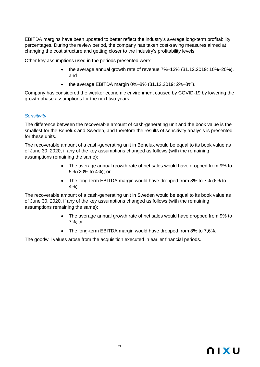EBITDA margins have been updated to better reflect the industry's average long-term profitability percentages. During the review period, the company has taken cost-saving measures aimed at changing the cost structure and getting closer to the industry's profitability levels.

Other key assumptions used in the periods presented were:

- the average annual growth rate of revenue 7%**–**13% (31.12.2019: 10%**–**20%), and
- the average EBITDA margin 0%**–**8% (31.12.2019: 2%**–**8%).

Company has considered the weaker economic environment caused by COVID-19 by lowering the growth phase assumptions for the next two years.

### *Sensitivity*

The difference between the recoverable amount of cash-generating unit and the book value is the smallest for the Benelux and Sweden, and therefore the results of sensitivity analysis is presented for these units.

The recoverable amount of a cash-generating unit in Benelux would be equal to its book value as of June 30, 2020, if any of the key assumptions changed as follows (with the remaining assumptions remaining the same):

- The average annual growth rate of net sales would have dropped from 9% to 5% (20% to 4%); or
- The long-term EBITDA margin would have dropped from 8% to 7% (6% to 4%).

The recoverable amount of a cash-generating unit in Sweden would be equal to its book value as of June 30, 2020, if any of the key assumptions changed as follows (with the remaining assumptions remaining the same):

- The average annual growth rate of net sales would have dropped from 9% to 7%; or
- The long-term EBITDA margin would have dropped from 8% to 7,6%.

The goodwill values arose from the acquisition executed in earlier financial periods.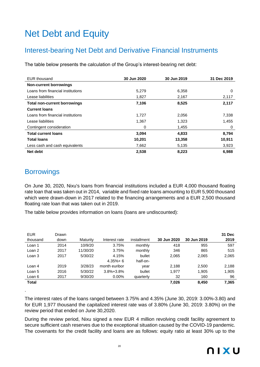# Net Debt and Equity

### Interest-bearing Net Debt and Derivative Financial Instruments

The table below presents the calculation of the Group's interest-bearing net debt:

| <b>EUR</b> thousand                 | 30 Jun 2020 | 30 Jun 2019 | 31 Dec 2019 |
|-------------------------------------|-------------|-------------|-------------|
| <b>Non-current borrowings</b>       |             |             |             |
| Loans from financial institutions   | 5,279       | 6,358       | 0           |
| Lease liabilities                   | 1,827       | 2,167       | 2,117       |
| <b>Total non-current borrowings</b> | 7,106       | 8,525       | 2,117       |
| <b>Current loans</b>                |             |             |             |
| Loans from financial institutions   | 1,727       | 2,056       | 7,338       |
| Lease liabilities                   | 1,367       | 1,323       | 1,455       |
| Contingent consideration            | 0           | 1,455       | 0           |
| <b>Total current loans</b>          | 3,094       | 4,833       | 8,794       |
| <b>Total loans</b>                  | 10,201      | 13,358      | 10,911      |
| Less cash and cash equivalents      | 7,662       | 5,135       | 3,923       |
| Net debt                            | 2,538       | 8,223       | 6,988       |

### **Borrowings**

.

On June 30, 2020, Nixu's loans from financial institutions included a EUR 4,000 thousand floating rate loan that was taken out in 2014, variable and fixed rate loans amounting to EUR 5,900 thousand which were drawn-down in 2017 related to the financing arrangements and a EUR 2,500 thousand floating rate loan that was taken out in 2019.

The table below provides information on loans (loans are undiscounted):

| <b>EUR</b><br>thousand | Drawn<br>down | Maturity | Interest rate   | installment | 30 Jun 2020 | 30 Jun 2019 | 31 Dec<br>2019 |
|------------------------|---------------|----------|-----------------|-------------|-------------|-------------|----------------|
| Loan 1                 | 2014          | 10/9/20  | 3.75%           | monthly     | 418         | 955         | 597            |
| Loan 2                 | 2017          | 11/30/20 | 3.75%           | monthly     | 346         | 865         | 515            |
| Loan 3                 | 2017          | 5/30/22  | 4.15%           | bullet      | 2,065       | 2,065       | 2,065          |
|                        |               |          | $4.35% + 6$     | half-on-    |             |             |                |
| Loan 4                 | 2019          | 3/28/23  | month euribor   | year        | 2,188       | 2,500       | 2,188          |
| Loan 5                 | 2016          | 5/30/22  | $3.8\% + 3.8\%$ | bullet      | 1,977       | 1,905       | 1,905          |
| Loan 6                 | 2017          | 9/30/20  | $0.00\%$        | quarterly   | 32          | 160         | 96             |
| Total                  |               |          |                 |             | 7,026       | 8.450       | 7,365          |

The interest rates of the loans ranged between 3.75% and 4.35% (June 30, 2019: 3.00%-3.80) and for EUR 1,977 thousand the capitalized interest rate was of 3.80% (June 30, 2019: 3.80%) on the review period that ended on June 30,2020.

During the review period, Nixu signed a new EUR 4 million revolving credit facility agreement to secure sufficient cash reserves due to the exceptional situation caused by the COVID-19 pandemic. The covenants for the credit facility and loans are as follows: equity ratio at least 30% up to the

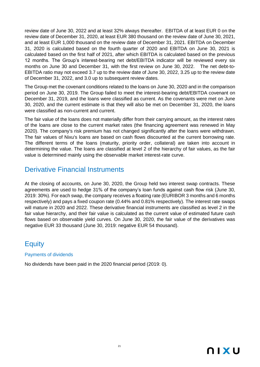review date of June 30, 2022 and at least 32% always thereafter. EBITDA of at least EUR 0 on the review date of December 31, 2020, at least EUR 380 thousand on the review date of June 30, 2021, and at least EUR 1,000 thousand on the review date of December 31, 2021. EBITDA on December 31, 2020 is calculated based on the fourth quarter of 2020 and EBITDA on June 30, 2021 is calculated based on the first half of 2021, after which EBITDA is calculated based on the previous 12 months. The Group's interest-bearing net debt/EBITDA indicator will be reviewed every six months on June 30 and December 31, with the first review on June 30, 2022. The net debt-to-EBITDA ratio may not exceed 3.7 up to the review date of June 30, 2022, 3.25 up to the review date of December 31, 2022, and 3.0 up to subsequent review dates.

The Group met the covenant conditions related to the loans on June 30, 2020 and in the comparison period on June 30, 2019. The Group failed to meet the interest-bearing debt/EBITDA covenant on December 31, 2019, and the loans were classified as current. As the covenants were met on June 30, 2020, and the current estimate is that they will also be met on December 31, 2020, the loans were classified as non-current and current.

The fair value of the loans does not materially differ from their carrying amount, as the interest rates of the loans are close to the current market rates (the financing agreement was renewed in May 2020). The company's risk premium has not changed significantly after the loans were withdrawn. The fair values of Nixu's loans are based on cash flows discounted at the current borrowing rate. The different terms of the loans (maturity, priority order, collateral) are taken into account in determining the value. The loans are classified at level 2 of the hierarchy of fair values, as the fair value is determined mainly using the observable market interest-rate curve.

### Derivative Financial Instruments

At the closing of accounts, on June 30, 2020, the Group held two interest swap contracts. These agreements are used to hedge 31% of the company's loan funds against cash flow risk (June 30, 2019: 30%). For each swap, the company receives a floating rate (EURIBOR 3 months and 6 months respectively) and pays a fixed coupon rate (0.44% and 0.81% respectively). The interest rate swaps will mature in 2020 and 2022. These derivative financial instruments are classified as level 2 in the fair value hierarchy, and their fair value is calculated as the current value of estimated future cash flows based on observable yield curves. On June 30, 2020, the fair value of the derivatives was negative EUR 33 thousand (June 30, 2019: negative EUR 54 thousand).

### **Equity**

Payments of dividends

No dividends have been paid in the 2020 financial period (2019: 0).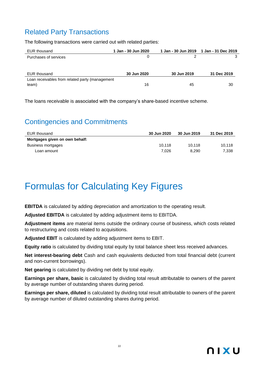### Related Party Transactions

The following transactions were carried out with related parties:

| EUR thousand                                    | 1 Jan - 30 Jun 2020 |             | 1 Jan - 30 Jun 2019  1 Jan - 31 Dec 2019 |
|-------------------------------------------------|---------------------|-------------|------------------------------------------|
| Purchases of services                           |                     |             | 3                                        |
|                                                 |                     |             |                                          |
| EUR thousand                                    | 30 Jun 2020         | 30 Jun 2019 | 31 Dec 2019                              |
| Loan receivables from related party (management |                     |             |                                          |
| team)                                           | 16                  | 45          | 30                                       |

The loans receivable is associated with the company's share-based incentive scheme.

### Contingencies and Commitments

| EUR thousand                   | 30 Jun 2020 | 30 Jun 2019 | 31 Dec 2019 |
|--------------------------------|-------------|-------------|-------------|
| Mortgages given on own behalf: |             |             |             |
| Business mortgages             | 10.118      | 10.118      | 10.118      |
| Loan amount                    | 7.026       | 8.290       | 7,338       |

# Formulas for Calculating Key Figures

**EBITDA** is calculated by adding depreciation and amortization to the operating result.

**Adjusted EBITDA** is calculated by adding adjustment items to EBITDA.

**Adjustment items** are material items outside the ordinary course of business, which costs related to restructuring and costs related to acquisitions.

**Adjusted EBIT** is calculated by adding adjustment items to EBIT.

**Equity ratio** is calculated by dividing total equity by total balance sheet less received advances.

**Net interest-bearing debt** Cash and cash equivalents deducted from total financial debt (current and non-current borrowings).

**Net gearing** is calculated by dividing net debt by total equity.

**Earnings per share, basic** is calculated by dividing total result attributable to owners of the parent by average number of outstanding shares during period.

**Earnings per share, diluted** is calculated by dividing total result attributable to owners of the parent by average number of diluted outstanding shares during period.

# **NIXU**